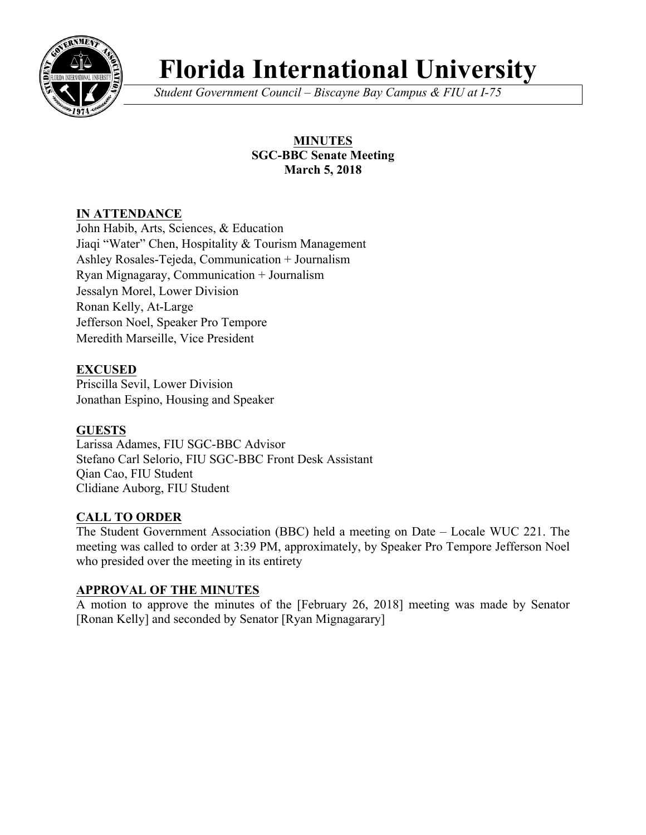

# **Florida International University**

*Student Government Council – Biscayne Bay Campus & FIU at I-75*

# **MINUTES SGC-BBC Senate Meeting March 5, 2018**

# **IN ATTENDANCE**

John Habib, Arts, Sciences, & Education Jiaqi "Water" Chen, Hospitality & Tourism Management Ashley Rosales-Tejeda, Communication + Journalism Ryan Mignagaray, Communication + Journalism Jessalyn Morel, Lower Division Ronan Kelly, At-Large Jefferson Noel, Speaker Pro Tempore Meredith Marseille, Vice President

# **EXCUSED**

Priscilla Sevil, Lower Division Jonathan Espino, Housing and Speaker

#### **GUESTS**

Larissa Adames, FIU SGC-BBC Advisor Stefano Carl Selorio, FIU SGC-BBC Front Desk Assistant Qian Cao, FIU Student Clidiane Auborg, FIU Student

#### **CALL TO ORDER**

The Student Government Association (BBC) held a meeting on Date – Locale WUC 221. The meeting was called to order at 3:39 PM, approximately, by Speaker Pro Tempore Jefferson Noel who presided over the meeting in its entirety

#### **APPROVAL OF THE MINUTES**

A motion to approve the minutes of the [February 26, 2018] meeting was made by Senator [Ronan Kelly] and seconded by Senator [Ryan Mignagarary]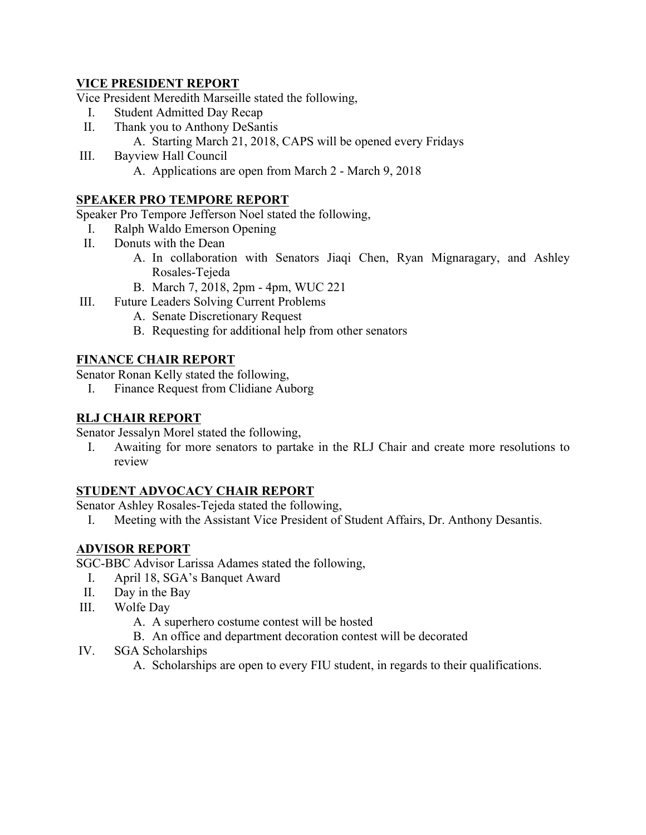## **VICE PRESIDENT REPORT**

Vice President Meredith Marseille stated the following,

- I. Student Admitted Day Recap
- II. Thank you to Anthony DeSantis A. Starting March 21, 2018, CAPS will be opened every Fridays
- III. Bayview Hall Council A. Applications are open from March 2 - March 9, 2018
	-

## **SPEAKER PRO TEMPORE REPORT**

Speaker Pro Tempore Jefferson Noel stated the following,

- I. Ralph Waldo Emerson Opening
- II. Donuts with the Dean
	- A. In collaboration with Senators Jiaqi Chen, Ryan Mignaragary, and Ashley Rosales-Tejeda
	- B. March 7, 2018, 2pm 4pm, WUC 221
- III. Future Leaders Solving Current Problems
	- A. Senate Discretionary Request
	- B. Requesting for additional help from other senators

# **FINANCE CHAIR REPORT**

Senator Ronan Kelly stated the following,

I. Finance Request from Clidiane Auborg

## **RLJ CHAIR REPORT**

Senator Jessalyn Morel stated the following,

I. Awaiting for more senators to partake in the RLJ Chair and create more resolutions to review

# **STUDENT ADVOCACY CHAIR REPORT**

Senator Ashley Rosales-Tejeda stated the following,

I. Meeting with the Assistant Vice President of Student Affairs, Dr. Anthony Desantis.

# **ADVISOR REPORT**

SGC-BBC Advisor Larissa Adames stated the following,

- I. April 18, SGA's Banquet Award
- II. Day in the Bay
- III. Wolfe Day
	- A. A superhero costume contest will be hosted
	- B. An office and department decoration contest will be decorated
- IV. SGA Scholarships
	- A. Scholarships are open to every FIU student, in regards to their qualifications.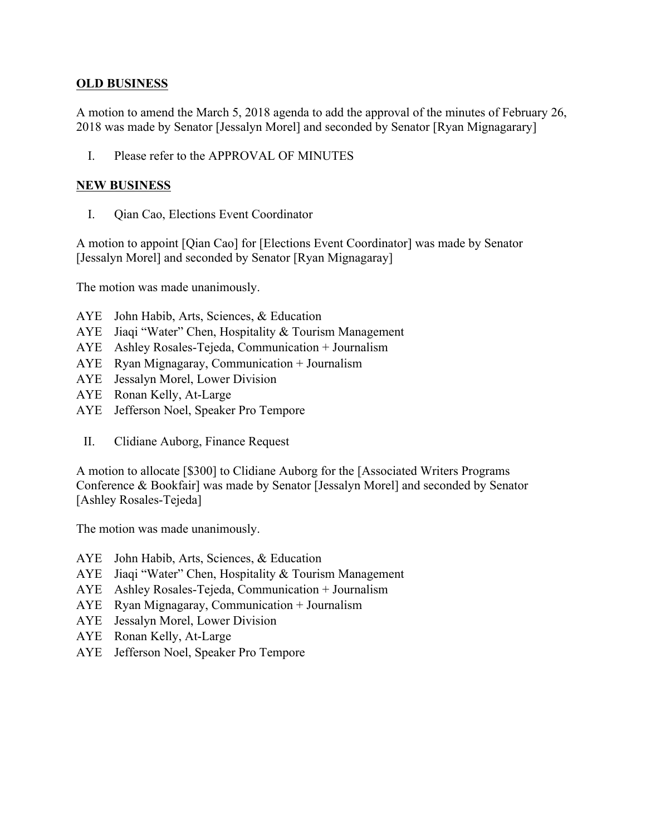#### **OLD BUSINESS**

A motion to amend the March 5, 2018 agenda to add the approval of the minutes of February 26, 2018 was made by Senator [Jessalyn Morel] and seconded by Senator [Ryan Mignagarary]

I. Please refer to the APPROVAL OF MINUTES

#### **NEW BUSINESS**

I. Qian Cao, Elections Event Coordinator

A motion to appoint [Qian Cao] for [Elections Event Coordinator] was made by Senator [Jessalyn Morel] and seconded by Senator [Ryan Mignagaray]

The motion was made unanimously.

- AYE John Habib, Arts, Sciences, & Education
- AYE Jiaqi "Water" Chen, Hospitality & Tourism Management
- AYE Ashley Rosales-Tejeda, Communication + Journalism
- AYE Ryan Mignagaray, Communication + Journalism
- AYE Jessalyn Morel, Lower Division
- AYE Ronan Kelly, At-Large
- AYE Jefferson Noel, Speaker Pro Tempore
- II. Clidiane Auborg, Finance Request

A motion to allocate [\$300] to Clidiane Auborg for the [Associated Writers Programs Conference & Bookfair] was made by Senator [Jessalyn Morel] and seconded by Senator [Ashley Rosales-Tejeda]

The motion was made unanimously.

- AYE John Habib, Arts, Sciences, & Education
- AYE Jiaqi "Water" Chen, Hospitality & Tourism Management
- AYE Ashley Rosales-Tejeda, Communication + Journalism
- AYE Ryan Mignagaray, Communication + Journalism
- AYE Jessalyn Morel, Lower Division
- AYE Ronan Kelly, At-Large
- AYE Jefferson Noel, Speaker Pro Tempore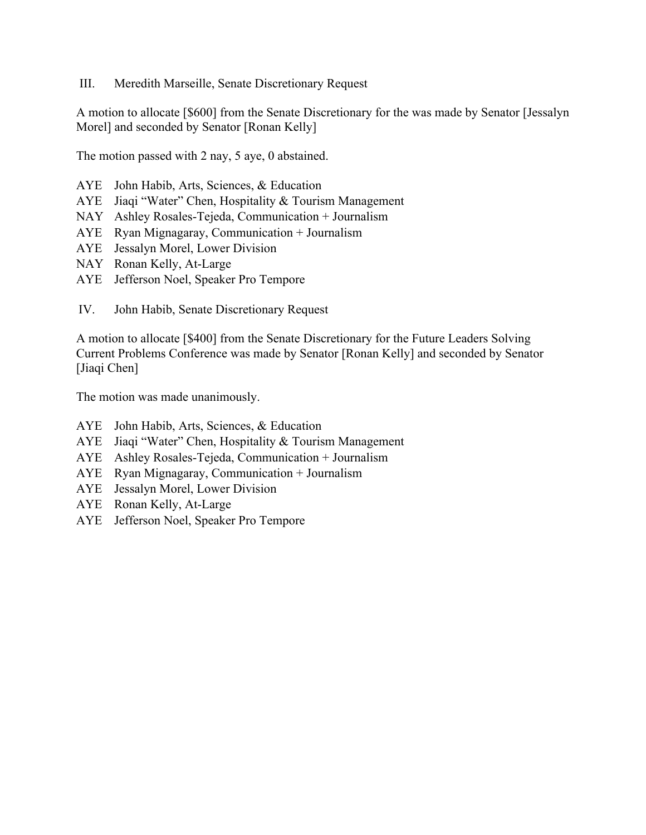III. Meredith Marseille, Senate Discretionary Request

A motion to allocate [\$600] from the Senate Discretionary for the was made by Senator [Jessalyn Morel] and seconded by Senator [Ronan Kelly]

The motion passed with 2 nay, 5 aye, 0 abstained.

- AYE John Habib, Arts, Sciences, & Education
- AYE Jiaqi "Water" Chen, Hospitality & Tourism Management
- NAY Ashley Rosales-Tejeda, Communication + Journalism
- AYE Ryan Mignagaray, Communication + Journalism
- AYE Jessalyn Morel, Lower Division
- NAY Ronan Kelly, At-Large
- AYE Jefferson Noel, Speaker Pro Tempore
- IV. John Habib, Senate Discretionary Request

A motion to allocate [\$400] from the Senate Discretionary for the Future Leaders Solving Current Problems Conference was made by Senator [Ronan Kelly] and seconded by Senator [Jiaqi Chen]

The motion was made unanimously.

- AYE John Habib, Arts, Sciences, & Education
- AYE Jiaqi "Water" Chen, Hospitality & Tourism Management
- AYE Ashley Rosales-Tejeda, Communication + Journalism
- AYE Ryan Mignagaray, Communication + Journalism
- AYE Jessalyn Morel, Lower Division
- AYE Ronan Kelly, At-Large
- AYE Jefferson Noel, Speaker Pro Tempore